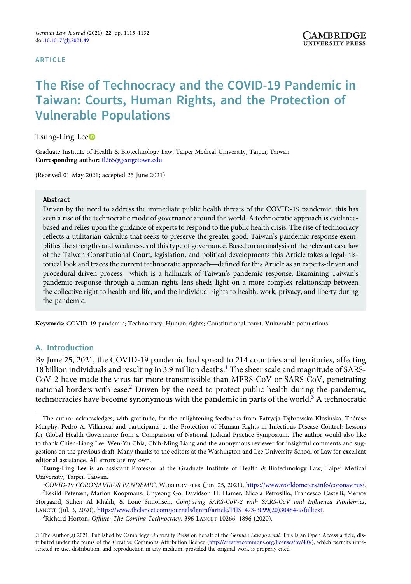#### **ARTICLE**

# The Rise of Technocracy and the COVID-19 Pandemic in Taiwan: Courts, Human Rights, and the Protection of Vulnerable Populations

## Tsung-Ling Lee<sup>D</sup>

Graduate Institute of Health & Biotechnology Law, Taipei Medical University, Taipei, Taiwan Corresponding author: [tl265@georgetown.edu](mailto:tl265@georgetown.edu)

(Received 01 May 2021; accepted 25 June 2021)

#### Abstract

Driven by the need to address the immediate public health threats of the COVID-19 pandemic, this has seen a rise of the technocratic mode of governance around the world. A technocratic approach is evidencebased and relies upon the guidance of experts to respond to the public health crisis. The rise of technocracy reflects a utilitarian calculus that seeks to preserve the greater good. Taiwan's pandemic response exemplifies the strengths and weaknesses of this type of governance. Based on an analysis of the relevant case law of the Taiwan Constitutional Court, legislation, and political developments this Article takes a legal-histhe current extraces the current technocratic approach—defined for this Article as an experts a utilitarian calculus that seeks to preserve the greater good. Taiwan's pandemic response exemplifies the strengths and weaknes procedural-driven process—which is a hallmark of Taiwan's pandemic response. Examining Taiwan Constitutional Court, legislation, and political developments this Article takes a legal-historical look and traces the current pandemic response through a human rights lens sheds light on a more complex relationship between the collective right to health and life, and the individual rights to health, work, privacy, and liberty during the pandemic.

Keywords: COVID-19 pandemic; Technocracy; Human rights; Constitutional court; Vulnerable populations

## A. Introduction

By June 25, 2021, the COVID-19 pandemic had spread to 214 countries and territories, affecting 18 billion individuals and resulting in 3.9 million deaths.<sup>1</sup> The sheer scale and magnitude of SARS-CoV-2 have made the virus far more transmissible than MERS-CoV or SARS-CoV, penetrating national borders with ease.<sup>2</sup> Driven by the need to protect public health during the pandemic, technocracies have become synonymous with the pandemic in parts of the world.<sup>3</sup> A technocratic

<sup>3</sup>Richard Horton, Offline: The Coming Technocracy, 396 LANCET 10266, 1896 (2020).

The author acknowledges, with gratitude, for the enlightening feedbacks from Patrycja Dąbrowska-Kłosińska, Thérèse Murphy, Pedro A. Villarreal and participants at the Protection of Human Rights in Infectious Disease Control: Lessons for Global Health Governance from a Comparison of National Judicial Practice Symposium. The author would also like to thank Chien-Liang Lee, Wen-Yu Chia, Chih-Ming Liang and the anonymous reviewer for insightful comments and suggestions on the previous draft. Many thanks to the editors at the Washington and Lee University School of Law for excellent editorial assistance. All errors are my own.

Tsung-Ling Lee is an assistant Professor at the Graduate Institute of Health & Biotechnology Law, Taipei Medical University, Taipei, Taiwan.

<sup>1</sup> COVID-19 CORONAVIRUS PANDEMIC, WORLDOMETER (Jun. 25, 2021), <https://www.worldometers.info/coronavirus/>. 2 Eskild Petersen, Marion Koopmans, Unyeong Go, Davidson H. Hamer, Nicola Petrosillo, Francesco Castelli, Merete Storgaard, Sulien Al Khalili, & Lone Simonsen, Comparing SARS-CoV-2 with SARS-CoV and Influenza Pandemics, LANCET (Jul. 3, 2020), [https://www.thelancet.com/journals/laninf/article/PIIS1473-3099\(20\)30484-9/fulltext.](https://www.thelancet.com/journals/laninf/article/PIIS1473-3099(20)30484-9/fulltext)

<sup>©</sup> The Author(s) 2021. Published by Cambridge University Press on behalf of the German Law Journal. This is an Open Access article, distributed under the terms of the Creative Commons Attribution licence [\(http://creativecommons.org/licenses/by/4.0/](http://creativecommons.org/licenses/by/4.0/)), which permits unrestricted re-use, distribution, and reproduction in any medium, provided the original work is properly cited.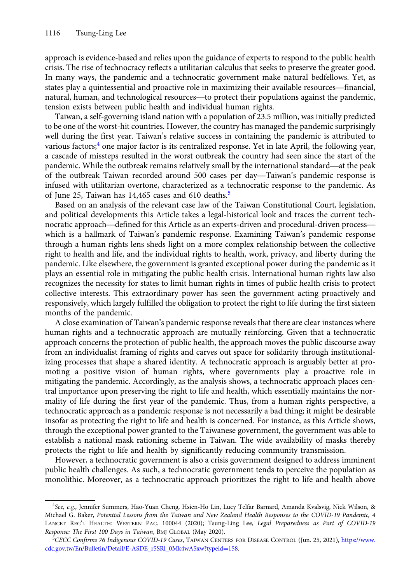approach is evidence-based and relies upon the guidance of experts to respond to the public health crisis. The rise of technocracy reflects a utilitarian calculus that seeks to preserve the greater good. In many ways, the pandemic and a technocratic government make natural bedfellows. Yet, as approach is evidence-based and relies upon the guidance of experts to respond to the public health<br>crisis. The rise of technocracy reflects a utilitarian calculus that seeks to preserve the greater good.<br>In many ways, the approach is evidence-based and renes upon the guidance of experts to respond to the public heatth<br>crisis. The rise of technocracy reflects a utilitarian calculus that seeks to preserve the greater good.<br>In many ways, the p tension exists between public health and individual human rights.

Taiwan, a self-governing island nation with a population of 23.5 million, was initially predicted to be one of the worst-hit countries. However, the country has managed the pandemic surprisingly well during the first year. Taiwan's relative success in containing the pandemic is attributed to various factors;<sup>4</sup> one major factor is its centralized response. Yet in late April, the following year, a cascade of missteps resulted in the worst outbreak the country had seen since the start of the particular to be one of the worst-filt countries. However, the country has managed the pandemic surprisingly<br>well during the first year. Taiwan's relative success in containing the pandemic is attributed to<br>various factors wen during the first year. Taiwan's relative success in containing the pandemic is attributed to<br>various factors;<sup>4</sup> one major factor is its centralized response. Yet in late April, the following year,<br>a cascade of misstep infused with utilitarian overtone, characterized as a technocratic response to the pandemic. As of June 25, Taiwan has 14,465 cases and 610 deaths.<sup>5</sup>

Based on an analysis of the relevant case law of the Taiwan Constitutional Court, legislation, and political developments this Article takes a legal-historical look and traces the current technnused with utilitarian overtone, characterized as a technocratic response to the pandemic. As<br>of June 25, Taiwan has 14,465 cases and 610 deaths.<sup>5</sup><br>Based on an analysis of the relevant case law of the Taiwan Constitution which is a hallmark of Taiwan's pandemic response. Examining Taiwan's pandemic response through a human rights lens sheds light on a more complex relationship between the collective right to health and life, and the individual rights to health, work, privacy, and liberty during the pandemic. Like elsewhere, the government is granted exceptional power during the pandemic as it plays an essential role in mitigating the public health crisis. International human rights law also recognizes the necessity for states to limit human rights in times of public health crisis to protect collective interests. This extraordinary power has seen the government acting proactively and responsively, which largely fulfilled the obligation to protect the right to life during the first sixteen months of the pandemic.

A close examination of Taiwan's pandemic response reveals that there are clear instances where human rights and a technocratic approach are mutually reinforcing. Given that a technocratic approach concerns the protection of public health, the approach moves the public discourse away from an individualist framing of rights and carves out space for solidarity through institutionalizing processes that shape a shared identity. A technocratic approach is arguably better at promoting a positive vision of human rights, where governments play a proactive role in mitigating the pandemic. Accordingly, as the analysis shows, a technocratic approach places central importance upon preserving the right to life and health, which essentially maintains the normality of life during the first year of the pandemic. Thus, from a human rights perspective, a technocratic approach as a pandemic response is not necessarily a bad thing; it might be desirable insofar as protecting the right to life and health is concerned. For instance, as this Article shows, through the exceptional power granted to the Taiwanese government, the government was able to establish a national mask rationing scheme in Taiwan. The wide availability of masks thereby protects the right to life and health by significantly reducing community transmission.

However, a technocratic government is also a crisis government designed to address imminent public health challenges. As such, a technocratic government tends to perceive the population as monolithic. Moreover, as a technocratic approach prioritizes the right to life and health above

<sup>4</sup> See, e.g., Jennifer Summers, Hao-Yuan Cheng, Hsien-Ho Lin, Lucy Telfar Barnard, Amanda Kvalsvig, Nick Wilson, & Michael G. Baker, Potential Lessons from the Taiwan and New Zealand Health Responses to the COVID-19 Pandemic, 4 LANCET REG'L HEALTH: WESTERN PAC. 100044 (2020); Tsung-Ling Lee, Legal Preparedness as Part of COVID-19 Response: The First 100 Days in Taiwan, BMJ GLOBAL (May 2020).

<sup>5</sup> CECC Confirms 76 Indigenous COVID-19 Cases, TAIWAN CENTERS FOR DISEASE CONTROL (Jun. 25, 2021), [https://www.](https://www.cdc.gov.tw/En/Bulletin/Detail/E-ASDE_r5SRl_0Mk4wA5xw?typeid=158) [cdc.gov.tw/En/Bulletin/Detail/E-ASDE\\_r5SRl\\_0Mk4wA5xw?typeid](https://www.cdc.gov.tw/En/Bulletin/Detail/E-ASDE_r5SRl_0Mk4wA5xw?typeid=158)=[158.](https://www.cdc.gov.tw/En/Bulletin/Detail/E-ASDE_r5SRl_0Mk4wA5xw?typeid=158)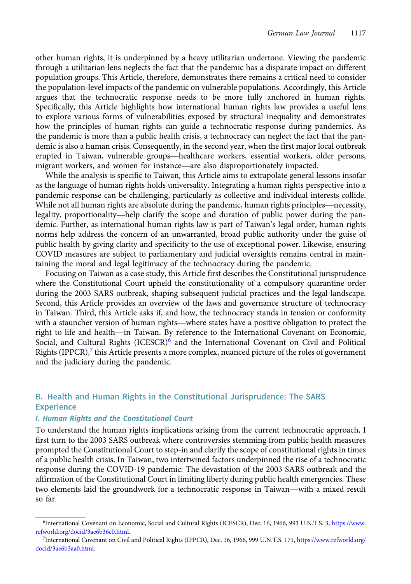other human rights, it is underpinned by a heavy utilitarian undertone. Viewing the pandemic through a utilitarian lens neglects the fact that the pandemic has a disparate impact on different population groups. This Article, therefore, demonstrates there remains a critical need to consider the population-level impacts of the pandemic on vulnerable populations. Accordingly, this Article argues that the technocratic response needs to be more fully anchored in human rights. Specifically, this Article highlights how international human rights law provides a useful lens to explore various forms of vulnerabilities exposed by structural inequality and demonstrates how the principles of human rights can guide a technocratic response during pandemics. As the pandemic is more than a public health crisis, a technocracy can neglect the fact that the pandemic is also a human crisis. Consequently, in the second year, when the first major local outbreak to explore various forms of vulnerabilities exposed by structural mequality and demonstrates<br>how the principles of human rights can guide a technocratic response during pandemics. As<br>the pandemic is more than a public heal mow the principles of human rights can guide a technocratic response during  $\mu$  the pandemic is more than a public health crisis, a technocracy can neglect the fact demic is also a human crisis. Consequently, in the secon

While the analysis is specific to Taiwan, this Article aims to extrapolate general lessons insofar as the language of human rights holds universality. Integrating a human rights perspective into a pandemic response can be challenging, particularly as collective and individual interests collide. While the analysis is specific to Taiwan, this Article aims to extrapolate general lessons insofar<br>as the language of human rights holds universality. Integrating a human rights perspective into a<br>pandemic response can be While not all human rights are absolute during the pandemic, human rights principles—necessity, legality, proportionality—help clarify the scope and duration of public power during the pandemic. Further, as international human rights law is part of Taiwan's legal order, human rights norms help address the concern of an unwarranted, broad public authority under the guise of public health by giving clarity and specificity to the use of exceptional power. Likewise, ensuring COVID measures are subject to parliamentary and judicial oversights remains central in maintaining the moral and legal legitimacy of the technocracy during the pandemic.

Focusing on Taiwan as a case study, this Article first describes the Constitutional jurisprudence where the Constitutional Court upheld the constitutionality of a compulsory quarantine order during the 2003 SARS outbreak, shaping subsequent judicial practices and the legal landscape. Second, this Article provides an overview of the laws and governance structure of technocracy in Taiwan. Third, this Article asks if, and how, the technocracy stands in tension or conformity where the Constitutional Court upheid the constitutionality of a compulsory quarantine order<br>during the 2003 SARS outbreak, shaping subsequent judicial practices and the legal landscape.<br>Second, this Article provides an ov during the 2005 SAKS outbreak, shaping subsequent judicial practices and the legal landscape.<br>Second, this Article provides an overview of the laws and governance structure of technocracy<br>in Taiwan. Third, this Article ask Social, and Cultural Rights (ICESCR)<sup>6</sup> and the International Covenant on Civil and Political Rights  $(IPPCR)$ ,<sup>7</sup> this Article presents a more complex, nuanced picture of the roles of government and the judiciary during the pandemic.

# B. Health and Human Rights in the Constitutional Jurisprudence: The SARS **Experience**

## I. Human Rights and the Constitutional Court

To understand the human rights implications arising from the current technocratic approach, I first turn to the 2003 SARS outbreak where controversies stemming from public health measures prompted the Constitutional Court to step-in and clarify the scope of constitutional rights in times of a public health crisis. In Taiwan, two intertwined factors underpinned the rise of a technocratic response during the COVID-19 pandemic: The devastation of the 2003 SARS outbreak and the affirmation of the Constitutional Court in limiting liberty during public health emergencies. These two elements laid the groundwork for a technocratic response in Taiwan—with a mixed result so far.

<sup>6</sup> International Covenant on Economic, Social and Cultural Rights (ICESCR), Dec. 16, 1966, 993 U.N.T.S. 3, [https://www.](https://www.refworld.org/docid/3ae6b36c0.html) [refworld.org/docid/3ae6b36c0.html.](https://www.refworld.org/docid/3ae6b36c0.html)

<sup>7</sup> International Covenant on Civil and Political Rights (IPPCR), Dec. 16, 1966, 999 U.N.T.S. 171, [https://www.refworld.org/](https://www.refworld.org/docid/3ae6b3aa0.html) [docid/3ae6b3aa0.html.](https://www.refworld.org/docid/3ae6b3aa0.html)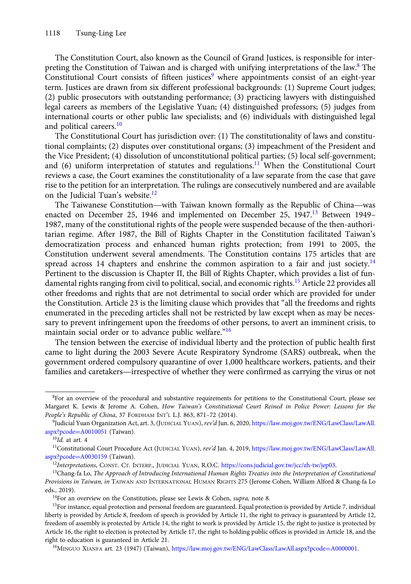The Constitution Court, also known as the Council of Grand Justices, is responsible for interpreting the Constitution of Taiwan and is charged with unifying interpretations of the law.<sup>8</sup> The Constitutional Court consists of fifteen justices<sup>9</sup> where appointments consist of an eight-year term. Justices are drawn from six different professional backgrounds: (1) Supreme Court judges; (2) public prosecutors with outstanding performance; (3) practicing lawyers with distinguished legal careers as members of the Legislative Yuan; (4) distinguished professors; (5) judges from international courts or other public law specialists; and (6) individuals with distinguished legal and political careers.<sup>10</sup>

The Constitutional Court has jurisdiction over: (1) The constitutionality of laws and constitutional complaints; (2) disputes over constitutional organs; (3) impeachment of the President and the Vice President; (4) dissolution of unconstitutional political parties; (5) local self-government; and  $(6)$  uniform interpretation of statutes and regulations.<sup>11</sup> When the Constitutional Court reviews a case, the Court examines the constitutionality of a law separate from the case that gave rise to the petition for an interpretation. The rulings are consecutively numbered and are available on the Judicial Tuan's website.<sup>12</sup> The Taiwanese Constitution—with Taiwan known formally as the Republic of China—was<br>The Taiwanese Constitution—with Taiwan known formally as the Republic of China—was<br>The Taiwanese Constitution—with Taiwan known formally as

enacted on December 25, 1946 and implemented on December 25, 1947.<sup>13</sup> Between 1949– 1987, many of the constitutional rights of the people were suspended because of the then-authoritarian regime. After 1987, the Bill of Rights Chapter in the Constitution facilitated Taiwan's democratization process and enhanced human rights protection; from 1991 to 2005, the Constitution underwent several amendments. The Constitution contains 175 articles that are spread across 14 chapters and enshrine the common aspiration to a fair and just society.<sup>14</sup> Pertinent to the discussion is Chapter II, the Bill of Rights Chapter, which provides a list of fundamental rights ranging from civil to political, social, and economic rights.<sup>15</sup> Article 22 provides all other freedoms and rights that are not detrimental to social order which are provided for under the Constitution. Article 23 is the limiting clause which provides that "all the freedoms and rights enumerated in the preceding articles shall not be restricted by law except when as may be necessary to prevent infringement upon the freedoms of other persons, to avert an imminent crisis, to maintain social order or to advance public welfare."<sup>16</sup>

The tension between the exercise of individual liberty and the protection of public health first came to light during the 2003 Severe Acute Respiratory Syndrome (SARS) outbreak, when the government ordered compulsory quarantine of over 1,000 healthcare workers, patients, and their Familian social order or to advance public wellare.<br>
The tension between the exercise of individual liberty and the protection of public health first<br>
came to light during the 2003 Severe Acute Respiratory Syndrome (SARS)

<sup>&</sup>lt;sup>8</sup>For an overview of the procedural and substantive requirements for petitions to the Constitutional Court, please see Margaret K. Lewis & Jerome A. Cohen, How Taiwan's Constitutional Court Reined in Police Power: Lessons for the People's Republic of China, 37 FORDHAM INT'L L.J. 863, 871–72 (2014).

<sup>9</sup> Judicial Yuan Organization Act, art. 3, (JUDICIAL YUAN), rev'd Jun. 6, 2020, [https://law.moj.gov.tw/ENG/LawClass/LawAll.](https://law.moj.gov.tw/ENG/LawClass/LawAll.aspx?pcode=A0010051) [aspx?pcode](https://law.moj.gov.tw/ENG/LawClass/LawAll.aspx?pcode=A0010051)=[A0010051](https://law.moj.gov.tw/ENG/LawClass/LawAll.aspx?pcode=A0010051) (Taiwan).

 $^{10}Id.$  at art. 4

<sup>11</sup>Constitutional Court Procedure Act (JUDICIAL YUAN), rev'd Jan. 4, 2019, [https://law.moj.gov.tw/ENG/LawClass/LawAll.](https://law.moj.gov.tw/ENG/LawClass/LawAll.aspx?pcode=A0030159) [aspx?pcode](https://law.moj.gov.tw/ENG/LawClass/LawAll.aspx?pcode=A0030159)=[A0030159](https://law.moj.gov.tw/ENG/LawClass/LawAll.aspx?pcode=A0030159) (Taiwan).

<sup>&</sup>lt;sup>12</sup>Interpretations, CONST. CT. INTERP., JUDICIAL YUAN, R.O.C. <https://cons.judicial.gov.tw/jcc/zh-tw/jep03>.

<sup>&</sup>lt;sup>13</sup>Chang-fa Lo, The Approach of Introducing International Human Rights Treaties into the Interpretation of Constitutional Provisions in Taiwan, in TAIWAN AND INTERNATIONAL HUMAN RIGHTS 275 (Jerome Cohen, William Alford & Chang-fa Lo eds., 2019).

<sup>&</sup>lt;sup>14</sup>For an overview on the Constitution, please see Lewis & Cohen, supra, note 8.

<sup>&</sup>lt;sup>15</sup>For instance, equal protection and personal freedom are guaranteed. Equal protection is provided by Article 7, individual liberty is provided by Article 8, freedom of speech is provided by Article 11, the right to privacy is guaranteed by Article 12, freedom of assembly is protected by Article 14, the right to work is provided by Article 15, the right to justice is protected by Article 16, the right to election is protected by Article 17, the right to holding public offices is provided in Article 18, and the right to education is guaranteed in Article 21.

<sup>&</sup>lt;sup>16</sup>MINGUO XIANFA art. 23 (1947) (Taiwan), [https://law.moj.gov.tw/ENG/LawClass/LawAll.aspx?pcode](https://law.moj.gov.tw/ENG/LawClass/LawAll.aspx?pcode=A0000001)=[A0000001](https://law.moj.gov.tw/ENG/LawClass/LawAll.aspx?pcode=A0000001).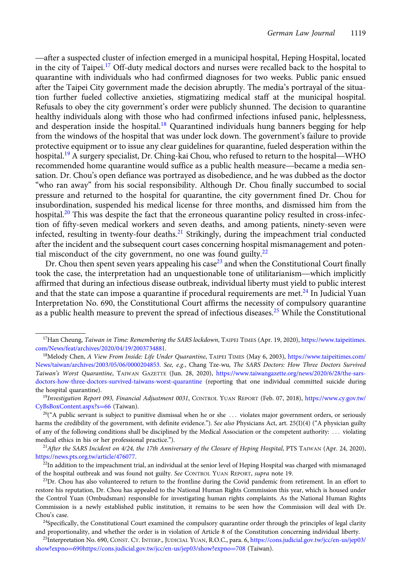after a suspected cluster of infection emerged in a municipal hospital, Heping Hospital, located in the city of Taipei.<sup>17</sup> Off-duty medical doctors and nurses were recalled back to the hospital to quarantine with individuals who had confirmed diagnoses for two weeks. Public panic ensued after the Taipei City government made the decision abruptly. The media's portrayal of the situation further fueled collective anxieties, stigmatizing medical staff at the municipal hospital. Refusals to obey the city government's order were publicly shunned. The decision to quarantine healthy individuals along with those who had confirmed infections infused panic, helplessness, and desperation inside the hospital.<sup>18</sup> Quarantined individuals hung banners begging for help from the windows of the hospital that was under lock down. The government's failure to provide protective equipment or to issue any clear guidelines for quarantine, fueled desperation within the heatiny individuals along with those who had committed intections infused pante, helplessness,<br>and desperation inside the hospital.<sup>18</sup> Quarantined individuals hung banners begging for help<br>from the windows of the hospital and desperation inside the nospital. Cuarantined marviduals hung banners begging for help<br>from the windows of the hospital that was under lock down. The government's failure to provide<br>protective equipment or to issue any sation. Dr. Chou's open defiance was portrayed as disobedience, and he was dubbed as the doctor "who ran away" from his social responsibility. Although Dr. Chou finally succumbed to social pressure and returned to the hospital for quarantine, the city government fined Dr. Chou for insubordination, suspended his medical license for three months, and dismissed him from the hospital.<sup>20</sup> This was despite the fact that the erroneous quarantine policy resulted in cross-infection of fifty-seven medical workers and seven deaths, and among patients, ninety-seven were infected, resulting in twenty-four deaths.<sup>21</sup> Strikingly, during the impeachment trial conducted after the incident and the subsequent court cases concerning hospital mismanagement and potential misconduct of the city government, no one was found guilty. $22$ 

Dr. Chou then spent seven years appealing his case<sup>23</sup> and when the Constitutional Court finally took the case, the interpretation had an unquestionable tone of utilitarianism—which implicitly affirmed that during an infectious disease outbreak, individual liberty must yield to public interest and that the state can impose a quarantine if procedural requirements are met.<sup>24</sup> In Judicial Yuan Interpretation No. 690, the Constitutional Court affirms the necessity of compulsory quarantine as a public health measure to prevent the spread of infectious diseases.<sup>25</sup> While the Constitutional

<sup>&</sup>lt;sup>17</sup>Han Cheung, Taiwan in Time: Remembering the SARS lockdown, TAIPEI TIMES (Apr. 19, 2020), [https://www.taipeitimes.](https://www.taipeitimes.com/News/feat/archives/2020/04/19/2003734881) [com/News/feat/archives/2020/04/19/2003734881](https://www.taipeitimes.com/News/feat/archives/2020/04/19/2003734881).

<sup>18</sup>Melody Chen, A View From Inside: Life Under Quarantine, TAIPEI TIMES (May 6, 2003), [https://www.taipeitimes.com/](https://www.taipeitimes.com/News/taiwan/archives/2003/05/06/0000204853) [News/taiwan/archives/2003/05/06/0000204853](https://www.taipeitimes.com/News/taiwan/archives/2003/05/06/0000204853). See, e.g., Chang Tze-wu, The SARS Doctors: How Three Doctors Survived Taiwan's Worst Quarantine, TAIWAN GAZETTE (Jun. 28, 2020), [https://www.taiwangazette.org/news/2020/6/28/the-sars](https://www.taiwangazette.org/news/2020/6/28/the-sars-doctors-how-three-doctors-survived-taiwans-worst-quarantine)[doctors-how-three-doctors-survived-taiwans-worst-quarantine](https://www.taiwangazette.org/news/2020/6/28/the-sars-doctors-how-three-doctors-survived-taiwans-worst-quarantine) (reporting that one individual committed suicide during the hospital quarantine).

<sup>19</sup>Investigation Report 093, Financial Adjustment 0031, CONTROL YUAN REPORT (Feb. 07, 2018), [https://www.cy.gov.tw/](https://www.cy.gov.tw/CyBsBoxContent.aspx?s=66) [CyBsBoxContent.aspx?s](https://www.cy.gov.tw/CyBsBoxContent.aspx?s=66)=[66](https://www.cy.gov.tw/CyBsBoxContent.aspx?s=66) (Taiwan).

 $^{20}$ ("A public servant is subject to punitive dismissal when he or she ... violates major government orders, or seriously harms the credibility of the government, with definite evidence."). See also Physicians Act, art. 25(I)(4) ("A physician guilty of any of the following conditions shall be disciplined by the Medical Association or the competent authority: ::: violating medical ethics in his or her professional practice.").

<sup>&</sup>lt;sup>21</sup>After the SARS Incident on  $4/24$ , the 17th Anniversary of the Closure of Heping Hospital, PTS TAIWAN (Apr. 24, 2020), <https://news.pts.org.tw/article/476077>.

<sup>&</sup>lt;sup>22</sup>In addition to the impeachment trial, an individual at the senior level of Heping Hospital was charged with mismanaged of the hospital outbreak and was found not guilty. See CONTROL YUAN REPORT, supra note 19.

 $23Dr$ . Chou has also volunteered to return to the frontline during the Covid pandemic from retirement. In an effort to restore his reputation, Dr. Chou has appealed to the National Human Rights Commission this year, which is housed under the Control Yuan (Ombudsman) responsible for investigating human rights complaints. As the National Human Rights Commission is a newly established public institution, it remains to be seen how the Commission will deal with Dr. Chou's case.

 $24$ Specifically, the Constitutional Court examined the compulsory quarantine order through the principles of legal clarity and proportionality, and whether the order is in violation of Article 8 of the Constitution concerning individual liberty.

<sup>25</sup>Interpretation No. 690, CONST. CT. INTERP., JUDICIAL YUAN, R.O.C., para. 6, [https://cons.judicial.gov.tw/jcc/en-us/jep03/](https://cons.judicial.gov.tw/jcc/en-us/jep03/show?expno=690https://cons.judicial.gov.tw/jcc/en-us/jep03/show?expno=708) [show?expno](https://cons.judicial.gov.tw/jcc/en-us/jep03/show?expno=690https://cons.judicial.gov.tw/jcc/en-us/jep03/show?expno=708)=[690https://cons.judicial.gov.tw/jcc/en-us/jep03/show?expno](https://cons.judicial.gov.tw/jcc/en-us/jep03/show?expno=690https://cons.judicial.gov.tw/jcc/en-us/jep03/show?expno=708)=[708](https://cons.judicial.gov.tw/jcc/en-us/jep03/show?expno=690https://cons.judicial.gov.tw/jcc/en-us/jep03/show?expno=708) (Taiwan).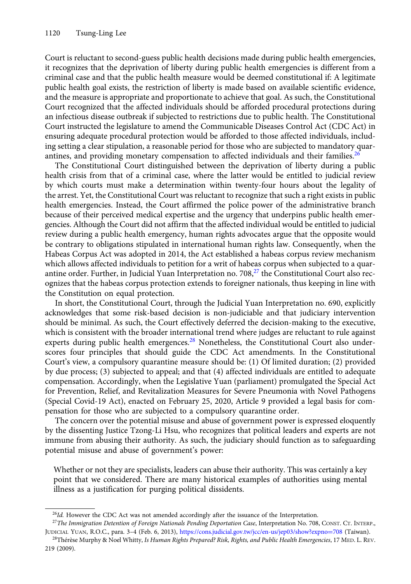Court is reluctant to second-guess public health decisions made during public health emergencies, it recognizes that the deprivation of liberty during public health emergencies is different from a criminal case and that the public health measure would be deemed constitutional if: A legitimate public health goal exists, the restriction of liberty is made based on available scientific evidence, and the measure is appropriate and proportionate to achieve that goal. As such, the Constitutional Court recognized that the affected individuals should be afforded procedural protections during an infectious disease outbreak if subjected to restrictions due to public health. The Constitutional Court instructed the legislature to amend the Communicable Diseases Control Act (CDC Act) in ensuring adequate procedural protection would be afforded to those affected individuals, including setting a clear stipulation, a reasonable period for those who are subjected to mandatory quarantines, and providing monetary compensation to affected individuals and their families.<sup>26</sup>

The Constitutional Court distinguished between the deprivation of liberty during a public health crisis from that of a criminal case, where the latter would be entitled to judicial review by which courts must make a determination within twenty-four hours about the legality of the arrest. Yet, the Constitutional Court was reluctant to recognize that such a right exists in public health emergencies. Instead, the Court affirmed the police power of the administrative branch because of their perceived medical expertise and the urgency that underpins public health emergencies. Although the Court did not affirm that the affected individual would be entitled to judicial review during a public health emergency, human rights advocates argue that the opposite would be contrary to obligations stipulated in international human rights law. Consequently, when the Habeas Corpus Act was adopted in 2014, the Act established a habeas corpus review mechanism which allows affected individuals to petition for a writ of habeas corpus when subjected to a quarantine order. Further, in Judicial Yuan Interpretation no.  $708$ , $^{27}$  the Constitutional Court also recognizes that the habeas corpus protection extends to foreigner nationals, thus keeping in line with the Constitution on equal protection.

In short, the Constitutional Court, through the Judicial Yuan Interpretation no. 690, explicitly acknowledges that some risk-based decision is non-judiciable and that judiciary intervention should be minimal. As such, the Court effectively deferred the decision-making to the executive, which is consistent with the broader international trend where judges are reluctant to rule against experts during public health emergences.<sup>28</sup> Nonetheless, the Constitutional Court also underscores four principles that should guide the CDC Act amendments. In the Constitutional Court's view, a compulsory quarantine measure should be: (1) Of limited duration; (2) provided by due process; (3) subjected to appeal; and that (4) affected individuals are entitled to adequate compensation. Accordingly, when the Legislative Yuan (parliament) promulgated the Special Act for Prevention, Relief, and Revitalization Measures for Severe Pneumonia with Novel Pathogens (Special Covid-19 Act), enacted on February 25, 2020, Article 9 provided a legal basis for compensation for those who are subjected to a compulsory quarantine order.

The concern over the potential misuse and abuse of government power is expressed eloquently by the dissenting Justice Tzong-Li Hsu, who recognizes that political leaders and experts are not immune from abusing their authority. As such, the judiciary should function as to safeguarding potential misuse and abuse of government's power:

Whether or not they are specialists, leaders can abuse their authority. This was certainly a key point that we considered. There are many historical examples of authorities using mental illness as a justification for purging political dissidents.

<sup>&</sup>lt;sup>26</sup>Id. However the CDC Act was not amended accordingly after the issuance of the Interpretation.

<sup>&</sup>lt;sup>27</sup>The Immigration Detention of Foreign Nationals Pending Deportation Case, Interpretation No. 708, CONST. CT. INTERP., JUDICIAL YUAN, R.O.C., para. 3–4 (Feb. 6, 2013), [https://cons.judicial.gov.tw/jcc/en-us/jep03/show?expno](https://cons.judicial.gov.tw/jcc/en-us/jep03/show?expno=708)=[708](https://cons.judicial.gov.tw/jcc/en-us/jep03/show?expno=708) (Taiwan).

<sup>&</sup>lt;sup>28</sup>Thérèse Murphy & Noel Whitty, Is Human Rights Prepared? Risk, Rights, and Public Health Emergencies, 17 MED. L. REV. 219 (2009).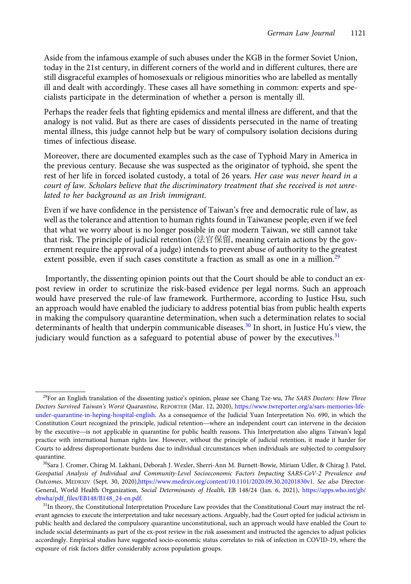Aside from the infamous example of such abuses under the KGB in the former Soviet Union, today in the 21st century, in different corners of the world and in different cultures, there are still disgraceful examples of homosexuals or religious minorities who are labelled as mentally ill and dealt with accordingly. These cases all have something in common: experts and specialists participate in the determination of whether a person is mentally ill.

Perhaps the reader feels that fighting epidemics and mental illness are different, and that the analogy is not valid. But as there are cases of dissidents persecuted in the name of treating mental illness, this judge cannot help but be wary of compulsory isolation decisions during times of infectious disease.

Moreover, there are documented examples such as the case of Typhoid Mary in America in the previous century. Because she was suspected as the originator of typhoid, she spent the rest of her life in forced isolated custody, a total of 26 years. Her case was never heard in a court of law. Scholars believe that the discriminatory treatment that she received is not unrelated to her background as an Irish immigrant.

Even if we have confidence in the persistence of Taiwan's free and democratic rule of law, as well as the tolerance and attention to human rights found in Taiwanese people; even if we feel that what we worry about is no longer possible in our modern Taiwan, we still cannot take that risk. The principle of judicial retention (法官保留, meaning certain actions by the government require the approval of a judge) intends to prevent abuse of authority to the greatest extent possible, even if such cases constitute a fraction as small as one in a million.<sup>29</sup>

Importantly, the dissenting opinion points out that the Court should be able to conduct an expost review in order to scrutinize the risk-based evidence per legal norms. Such an approach would have preserved the rule-of law framework. Furthermore, according to Justice Hsu, such an approach would have enabled the judiciary to address potential bias from public health experts in making the compulsory quarantine determination, when such a determination relates to social determinants of health that underpin communicable diseases.<sup>30</sup> In short, in Justice Hu's view, the judiciary would function as a safeguard to potential abuse of power by the executives. $31$ 

 $29$ For an English translation of the dissenting justice's opinion, please see Chang Tze-wu, The SARS Doctors: How Three Doctors Survived Taiwan's Worst Quarantine, REPORTER (Mar. 12, 2020), [https://www.twreporter.org/a/sars-memories-life](https://www.twreporter.org/a/sars-memories-life-under-quarantine-in-heping-hospital-english)[under-quarantine-in-heping-hospital-english.](https://www.twreporter.org/a/sars-memories-life-under-quarantine-in-heping-hospital-english) As a consequence of the Judicial Yuan Interpretation No. 690, in which the <sup>29</sup>For an English translation of the dissenting justice's opinion, please see Chang Tze-wu, *The SARS Doctors: How Three Doctors Survived Taiwan's Worst Quarantine*, REPORTER (Mar. 12, 2020), https://www.twreporter.org Doctors Survived Taiwan's Worst Quarantine, REPORTER (Mar. 12, 2020), https://www.twreporter.org/a/sars-memories-life-<br>under-quarantine-in-heping-hospital-english. As a consequence of the Judicial Yuan Interpretation No. 6 practice with international human rights law. However, without the principle of judicial retention, it made it harder for Courts to address disproportionate burdens due to individual circumstances when individuals are subjected to compulsory quarantine.

<sup>30</sup>Sara J. Cromer, Chirag M. Lakhani, Deborah J. Wexler, Sherri-Ann M. Burnett-Bowie, Miriam Udler, & Chirag J. Patel, Geospatial Analysis of Individual and Community-Level Socioeconomic Factors Impacting SARS-CoV-2 Prevalence and Outcomes, MEDRXIV (Sept. 30, 2020),[https://www.medrxiv.org/content/10.1101/2020.09.30.20201830v1.](https://www.medrxiv.org/content/10.1101/2020.09.30.20201830v1) See also Director-General, World Health Organization, Social Determinants of Health, EB 148/24 (Jan. 6, 2021), [https://apps.who.int/gb/](https://apps.who.int/gb/ebwha/pdf_files/EB148/B148_24-en.pdf) [ebwha/pdf\\_files/EB148/B148\\_24-en.pdf](https://apps.who.int/gb/ebwha/pdf_files/EB148/B148_24-en.pdf).

<sup>&</sup>lt;sup>31</sup>In theory, the Constitutional Interpretation Procedure Law provides that the Constitutional Court may instruct the relevant agencies to execute the interpretation and take necessary actions. Arguably, had the Court opted for judicial activism in public health and declared the compulsory quarantine unconstitutional, such an approach would have enabled the Court to include social determinants as part of the ex-post review in the risk assessment and instructed the agencies to adjust policies accordingly. Empirical studies have suggested socio-economic status correlates to risk of infection in COVID-19, where the exposure of risk factors differ considerably across population groups.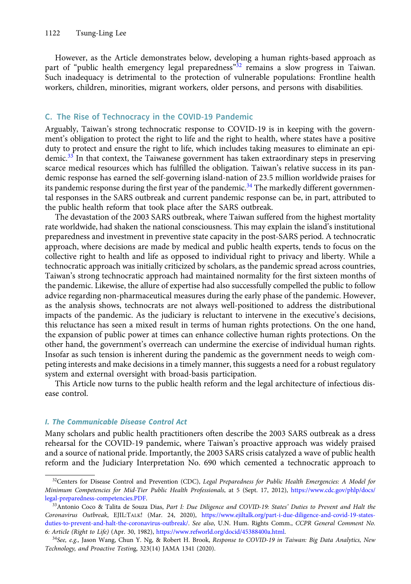However, as the Article demonstrates below, developing a human rights-based approach as part of "public health emergency legal preparedness"<sup>32</sup> remains a slow progress in Taiwan. Such inadequacy is detrimental to the protection of vulnerable populations: Frontline health workers, children, minorities, migrant workers, older persons, and persons with disabilities.

## C. The Rise of Technocracy in the COVID-19 Pandemic

Arguably, Taiwan's strong technocratic response to COVID-19 is in keeping with the government's obligation to protect the right to life and the right to health, where states have a positive duty to protect and ensure the right to life, which includes taking measures to eliminate an epidemic.<sup>33</sup> In that context, the Taiwanese government has taken extraordinary steps in preserving scarce medical resources which has fulfilled the obligation. Taiwan's relative success in its pandemic response has earned the self-governing island-nation of 23.5 million worldwide praises for its pandemic response during the first year of the pandemic.<sup>34</sup> The markedly different governmental responses in the SARS outbreak and current pandemic response can be, in part, attributed to the public health reform that took place after the SARS outbreak.

The devastation of the 2003 SARS outbreak, where Taiwan suffered from the highest mortality rate worldwide, had shaken the national consciousness. This may explain the island's institutional preparedness and investment in preventive state capacity in the post-SARS period. A technocratic approach, where decisions are made by medical and public health experts, tends to focus on the collective right to health and life as opposed to individual right to privacy and liberty. While a technocratic approach was initially criticized by scholars, as the pandemic spread across countries, Taiwan's strong technocratic approach had maintained normality for the first sixteen months of the pandemic. Likewise, the allure of expertise had also successfully compelled the public to follow advice regarding non-pharmaceutical measures during the early phase of the pandemic. However, as the analysis shows, technocrats are not always well-positioned to address the distributional impacts of the pandemic. As the judiciary is reluctant to intervene in the executive's decisions, this reluctance has seen a mixed result in terms of human rights protections. On the one hand, the expansion of public power at times can enhance collective human rights protections. On the other hand, the government's overreach can undermine the exercise of individual human rights. Insofar as such tension is inherent during the pandemic as the government needs to weigh competing interests and make decisions in a timely manner, this suggests a need for a robust regulatory system and external oversight with broad-basis participation.

This Article now turns to the public health reform and the legal architecture of infectious disease control.

#### I. The Communicable Disease Control Act

Many scholars and public health practitioners often describe the 2003 SARS outbreak as a dress rehearsal for the COVID-19 pandemic, where Taiwan's proactive approach was widely praised and a source of national pride. Importantly, the 2003 SARS crisis catalyzed a wave of public health reform and the Judiciary Interpretation No. 690 which cemented a technocratic approach to

<sup>&</sup>lt;sup>32</sup>Centers for Disease Control and Prevention (CDC), Legal Preparedness for Public Health Emergencies: A Model for Minimum Competencies for Mid-Tier Public Health Professionals, at 5 (Sept. 17, 2012), [https://www.cdc.gov/phlp/docs/](https://www.cdc.gov/phlp/docs/legal-preparedness-competencies.PDF) [legal-preparedness-competencies.PDF](https://www.cdc.gov/phlp/docs/legal-preparedness-competencies.PDF).

<sup>33</sup> Antonio Coco & Talita de Souza Dias, Part I: Due Diligence and COVID-19: States' Duties to Prevent and Halt the Coronavirus Outbreak, EJIL:TALK! (Mar. 24, 2020), [https://www.ejiltalk.org/part-i-due-diligence-and-covid-19-states](https://www.ejiltalk.org/part-i-due-diligence-and-covid-19-states-duties-to-prevent-and-halt-the-coronavirus-outbreak/)[duties-to-prevent-and-halt-the-coronavirus-outbreak/.](https://www.ejiltalk.org/part-i-due-diligence-and-covid-19-states-duties-to-prevent-and-halt-the-coronavirus-outbreak/) See also, U.N. Hum. Rights Comm., CCPR General Comment No. 6: Article (Right to Life) (Apr. 30, 1982), <https://www.refworld.org/docid/45388400a.html>.

<sup>34</sup>See, e.g., Jason Wang, Chun Y. Ng, & Robert H. Brook, Response to COVID-19 in Taiwan: Big Data Analytics, New Technology, and Proactive Testing, 323(14) JAMA 1341 (2020).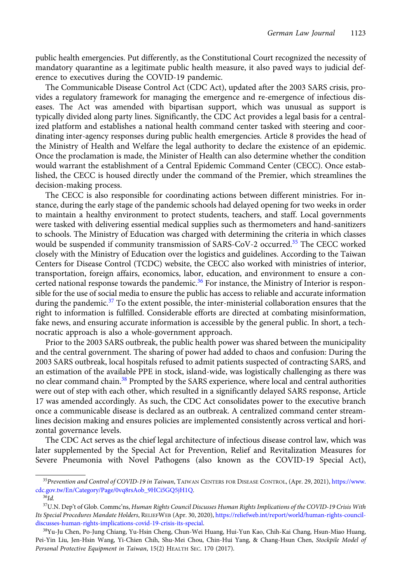public health emergencies. Put differently, as the Constitutional Court recognized the necessity of mandatory quarantine as a legitimate public health measure, it also paved ways to judicial deference to executives during the COVID-19 pandemic.

The Communicable Disease Control Act (CDC Act), updated after the 2003 SARS crisis, provides a regulatory framework for managing the emergence and re-emergence of infectious diseases. The Act was amended with bipartisan support, which was unusual as support is typically divided along party lines. Significantly, the CDC Act provides a legal basis for a centralized platform and establishes a national health command center tasked with steering and coordinating inter-agency responses during public health emergencies. Article 8 provides the head of the Ministry of Health and Welfare the legal authority to declare the existence of an epidemic. Once the proclamation is made, the Minister of Health can also determine whether the condition would warrant the establishment of a Central Epidemic Command Center (CECC). Once established, the CECC is housed directly under the command of the Premier, which streamlines the decision-making process.

The CECC is also responsible for coordinating actions between different ministries. For instance, during the early stage of the pandemic schools had delayed opening for two weeks in order to maintain a healthy environment to protect students, teachers, and staff. Local governments were tasked with delivering essential medical supplies such as thermometers and hand-sanitizers to schools. The Ministry of Education was charged with determining the criteria in which classes would be suspended if community transmission of SARS-CoV-2 occurred.<sup>35</sup> The CECC worked closely with the Ministry of Education over the logistics and guidelines. According to the Taiwan Centers for Disease Control (TCDC) website, the CECC also worked with ministries of interior, transportation, foreign affairs, economics, labor, education, and environment to ensure a concerted national response towards the pandemic.<sup>36</sup> For instance, the Ministry of Interior is responsible for the use of social media to ensure the public has access to reliable and accurate information during the pandemic.<sup>37</sup> To the extent possible, the inter-ministerial collaboration ensures that the right to information is fulfilled. Considerable efforts are directed at combating misinformation, fake news, and ensuring accurate information is accessible by the general public. In short, a technocratic approach is also a whole-government approach.

Prior to the 2003 SARS outbreak, the public health power was shared between the municipality and the central government. The sharing of power had added to chaos and confusion: During the 2003 SARS outbreak, local hospitals refused to admit patients suspected of contracting SARS, and an estimation of the available PPE in stock, island-wide, was logistically challenging as there was no clear command chain.<sup>38</sup> Prompted by the SARS experience, where local and central authorities were out of step with each other, which resulted in a significantly delayed SARS response, Article 17 was amended accordingly. As such, the CDC Act consolidates power to the executive branch once a communicable disease is declared as an outbreak. A centralized command center streamlines decision making and ensures policies are implemented consistently across vertical and horizontal governance levels.

The CDC Act serves as the chief legal architecture of infectious disease control law, which was later supplemented by the Special Act for Prevention, Relief and Revitalization Measures for Severe Pneumonia with Novel Pathogens (also known as the COVID-19 Special Act),

<sup>&</sup>lt;sup>35</sup>Prevention and Control of COVID-19 in Taiwan, TAIWAN CENTERS FOR DISEASE CONTROL, (Apr. 29, 2021), [https://www.](https://www.cdc.gov.tw/En/Category/Page/0vq8rsAob_9HCi5GQ5jH1Q) [cdc.gov.tw/En/Category/Page/0vq8rsAob\\_9HCi5GQ5jH1Q](https://www.cdc.gov.tw/En/Category/Page/0vq8rsAob_9HCi5GQ5jH1Q).

 $36$ Id.

<sup>&</sup>lt;sup>37</sup>U.N. Dep't of Glob. Commc'ns, Human Rights Council Discusses Human Rights Implications of the COVID-19 Crisis With Its Special Procedures Mandate Holders, RELIEFWEB (Apr. 30, 2020), [https://reliefweb.int/report/world/human-rights-council](https://reliefweb.int/report/world/human-rights-council-discusses-human-rights-implications-covid-19-crisis-its-special)[discusses-human-rights-implications-covid-19-crisis-its-special.](https://reliefweb.int/report/world/human-rights-council-discusses-human-rights-implications-covid-19-crisis-its-special)

<sup>38</sup>Yu-Ju Chen, Po-Jung Chiang, Yu-Hsin Cheng, Chun-Wei Huang, Hui-Yun Kao, Chih-Kai Chang, Hsun-Miao Huang, Pei-Yin Liu, Jen-Hsin Wang, Yi-Chien Chih, Shu-Mei Chou, Chin-Hui Yang, & Chang-Hsun Chen, Stockpile Model of Personal Protective Equipment in Taiwan, 15(2) HEALTH SEC. 170 (2017).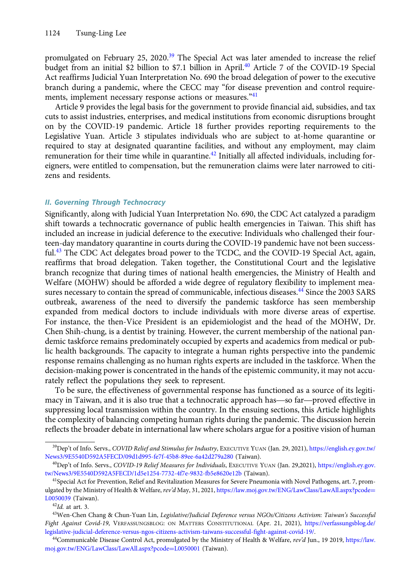promulgated on February 25, 2020.<sup>39</sup> The Special Act was later amended to increase the relief budget from an initial \$2 billion to \$7.1 billion in April.<sup>40</sup> Article 7 of the COVID-19 Special Act reaffirms Judicial Yuan Interpretation No. 690 the broad delegation of power to the executive branch during a pandemic, where the CECC may "for disease prevention and control requirements, implement necessary response actions or measures."<sup>41</sup>

Article 9 provides the legal basis for the government to provide financial aid, subsidies, and tax cuts to assist industries, enterprises, and medical institutions from economic disruptions brought on by the COVID-19 pandemic. Article 18 further provides reporting requirements to the Legislative Yuan. Article 3 stipulates individuals who are subject to at-home quarantine or required to stay at designated quarantine facilities, and without any employment, may claim remuneration for their time while in quarantine.<sup>42</sup> Initially all affected individuals, including foreigners, were entitled to compensation, but the remuneration claims were later narrowed to citizens and residents.

## II. Governing Through Technocracy

Significantly, along with Judicial Yuan Interpretation No. 690, the CDC Act catalyzed a paradigm shift towards a technocratic governance of public health emergencies in Taiwan. This shift has included an increase in judicial deference to the executive: Individuals who challenged their fourteen-day mandatory quarantine in courts during the COVID-19 pandemic have not been successful.<sup>43</sup> The CDC Act delegates broad power to the TCDC, and the COVID-19 Special Act, again, reaffirms that broad delegation. Taken together, the Constitutional Court and the legislative branch recognize that during times of national health emergencies, the Ministry of Health and Welfare (MOHW) should be afforded a wide degree of regulatory flexibility to implement measures necessary to contain the spread of communicable, infectious diseases.<sup>44</sup> Since the 2003 SARS outbreak, awareness of the need to diversify the pandemic taskforce has seen membership expanded from medical doctors to include individuals with more diverse areas of expertise. For instance, the then-Vice President is an epidemiologist and the head of the MOHW, Dr. Chen Shih-chung, is a dentist by training. However, the current membership of the national pandemic taskforce remains predominately occupied by experts and academics from medical or public health backgrounds. The capacity to integrate a human rights perspective into the pandemic response remains challenging as no human rights experts are included in the taskforce. When the decision-making power is concentrated in the hands of the epistemic community, it may not accurately reflect the populations they seek to represent. response remains challenging as no numan rights experts are included in the taskforce. When the decision-making power is concentrated in the hands of the epistemic community, it may not accurately reflect the populations t

To be sure, the effectiveness of governmental response has functioned as a source of its legitisuppressing local transmission within the country. In the ensuing sections, this Article highlights the complexity of balancing competing human rights during the pandemic. The discussion herein reflects the broader debate in international law where scholars argue for a positive vision of human

<sup>&</sup>lt;sup>39</sup>Dep't of Info. Servs., COVID Relief and Stimulus for Industry, EXECUTIVE YUAN (Jan. 29, 2021), [https://english.ey.gov.tw/](https://english.ey.gov.tw/News3/9E5540D592A5FECD/09d1d995-fe7f-45b8-89ee-6a42d279a280) [News3/9E5540D592A5FECD/09d1d995-fe7f-45b8-89ee-6a42d279a280](https://english.ey.gov.tw/News3/9E5540D592A5FECD/09d1d995-fe7f-45b8-89ee-6a42d279a280) (Taiwan).

<sup>40</sup>Dep't of Info. Servs., COVID-19 Relief Measures for Individuals, EXECUTIVE YUAN (Jan. 29,2021), [https://english.ey.gov.](https://english.ey.gov.tw/News3/9E5540D592A5FECD/1d5e1254-7732-4f7e-9832-fb5e8620e12b) [tw/News3/9E5540D592A5FECD/1d5e1254-7732-4f7e-9832-fb5e8620e12b](https://english.ey.gov.tw/News3/9E5540D592A5FECD/1d5e1254-7732-4f7e-9832-fb5e8620e12b) (Taiwan).

<sup>&</sup>lt;sup>41</sup>Special Act for Prevention, Relief and Revitalization Measures for Severe Pneumonia with Novel Pathogens, art. 7, promulgated by the Ministry of Health & Welfare, rev'd May, 31, 2021, [https://law.moj.gov.tw/ENG/LawClass/LawAll.aspx?pcode](https://law.moj.gov.tw/ENG/LawClass/LawAll.aspx?pcode=L0050039)= [L0050039](https://law.moj.gov.tw/ENG/LawClass/LawAll.aspx?pcode=L0050039) (Taiwan).

 $42$ Id. at art. 3.

<sup>43</sup>Wen-Chen Chang & Chun-Yuan Lin, Legislative/Judicial Deference versus NGOs/Citizens Activism: Taiwan's Successful Fight Against Covid-19, VERFASSUNGSBLOG: ON MATTERS CONSTITUTIONAL (Apr. 21, 2021), [https://verfassungsblog.de/](https://verfassungsblog.de/legislative-judicial-deference-versus-ngos-citizens-activism-taiwans-successful-fight-against-covid-19/) [legislative-judicial-deference-versus-ngos-citizens-activism-taiwans-successful-fight-against-covid-19/](https://verfassungsblog.de/legislative-judicial-deference-versus-ngos-citizens-activism-taiwans-successful-fight-against-covid-19/).

<sup>44</sup>Communicable Disease Control Act, promulgated by the Ministry of Health & Welfare, rev'd Jun., 19 2019, [https://law.](https://law.moj.gov.tw/ENG/LawClass/LawAll.aspx?pcode=L0050001) [moj.gov.tw/ENG/LawClass/LawAll.aspx?pcode](https://law.moj.gov.tw/ENG/LawClass/LawAll.aspx?pcode=L0050001)=[L0050001](https://law.moj.gov.tw/ENG/LawClass/LawAll.aspx?pcode=L0050001) (Taiwan).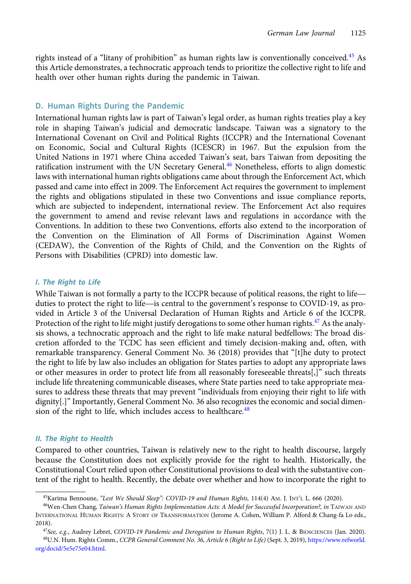rights instead of a "litany of prohibition" as human rights law is conventionally conceived.<sup>45</sup> As this Article demonstrates, a technocratic approach tends to prioritize the collective right to life and health over other human rights during the pandemic in Taiwan.

# D. Human Rights During the Pandemic

International human rights law is part of Taiwan's legal order, as human rights treaties play a key role in shaping Taiwan's judicial and democratic landscape. Taiwan was a signatory to the International Covenant on Civil and Political Rights (ICCPR) and the International Covenant on Economic, Social and Cultural Rights (ICESCR) in 1967. But the expulsion from the United Nations in 1971 where China acceded Taiwan's seat, bars Taiwan from depositing the ratification instrument with the UN Secretary General.<sup>46</sup> Nonetheless, efforts to align domestic laws with international human rights obligations came about through the Enforcement Act, which passed and came into effect in 2009. The Enforcement Act requires the government to implement the rights and obligations stipulated in these two Conventions and issue compliance reports, which are subjected to independent, international review. The Enforcement Act also requires the government to amend and revise relevant laws and regulations in accordance with the Conventions. In addition to these two Conventions, efforts also extend to the incorporation of the Convention on the Elimination of All Forms of Discrimination Against Women (CEDAW), the Convention of the Rights of Child, and the Convention on the Rights of Persons with Disabilities (CPRD) into domestic law.

# I. The Right to Life

Persons with Disabilities (CPRD) into domestic law.<br>I. The Right to Life<br>While Taiwan is not formally a party to the ICCPR because of political reasons, the right to life duties to protect the right to Life<br>While Taiwan is not formally a party to the ICCPR because of political reasons, the right to life—<br>duties to protect the right to life—is central to the government's response to COVID-19 vided in Article 3 of the Universal Declaration of Human Rights and Article 6 of the ICCPR. Protection of the right to life might justify derogations to some other human rights.<sup>47</sup> As the analysis shows, a technocratic approach and the right to life make natural bedfellows: The broad discretion afforded to the TCDC has seen efficient and timely decision-making and, often, with remarkable transparency. General Comment No. 36 (2018) provides that "[t]he duty to protect the right to life by law also includes an obligation for States parties to adopt any appropriate laws or other measures in order to protect life from all reasonably foreseeable threats[,]" such threats include life threatening communicable diseases, where State parties need to take appropriate measures to address these threats that may prevent "individuals from enjoying their right to life with dignity[.]" Importantly, General Comment No. 36 also recognizes the economic and social dimension of the right to life, which includes access to healthcare.<sup>48</sup>

# II. The Right to Health

Compared to other countries, Taiwan is relatively new to the right to health discourse, largely because the Constitution does not explicitly provide for the right to health. Historically, the Constitutional Court relied upon other Constitutional provisions to deal with the substantive content of the right to health. Recently, the debate over whether and how to incorporate the right to

<sup>&</sup>lt;sup>45</sup>Karima Bennoune, "Lest We Should Sleep": COVID-19 and Human Rights, 114(4) AM. J. INT'L L. 666 (2020).

<sup>46</sup>Wen-Chen Chang, Taiwan's Human Rights Implementation Acts: A Model for Successful Incorporation?, in TAIWAN AND INTERNATIONAL HUMAN RIGHTS: A STORY OF TRANSFORMATION (Jerome A. Cohen, William P. Alford & Chang-fa Lo eds., 2018).

<sup>&</sup>lt;sup>47</sup>See, e.g., Audrey Lebret, COVID-19 Pandemic and Derogation to Human Rights, 7(1) J. L. & BIOSCIENCES (Jan. 2020). 48U.N. Hum. Rights Comm., CCPR General Comment No. 36, Article 6 (Right to Life) (Sept. 3, 2019), [https://www.refworld.](https://www.refworld.org/docid/5e5e75e04.html) [org/docid/5e5e75e04.html.](https://www.refworld.org/docid/5e5e75e04.html)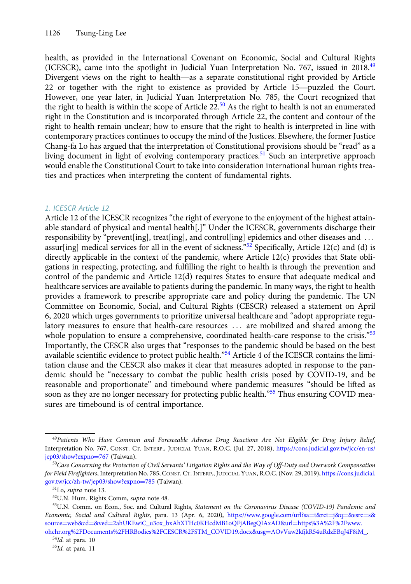health, as provided in the International Covenant on Economic, Social and Cultural Rights (ICESCR), came into the spotlight in Judicial Yuan Interpretation No. 767, issued in 2018.<sup>49</sup> health, as provided in the International Covenant on Economic, Social and Cultural Rights (ICESCR), came into the spotlight in Judicial Yuan Interpretation No. 767, issued in 2018.<sup>49</sup><br>Divergent views on the right to healt health, as provided in the International Covenant on Economic, Social and Cultural Rights (ICESCR), came into the spotlight in Judicial Yuan Interpretation No. 767, issued in 2018.<sup>49</sup> Divergent views on the right to healt However, one year later, in Judicial Yuan Interpretation No. 785, the Court recognized that the right to health is within the scope of Article  $22^{50}$  As the right to health is not an enumerated right in the Constitution and is incorporated through Article 22, the content and contour of the right to health remain unclear; how to ensure that the right to health is interpreted in line with contemporary practices continues to occupy the mind of the Justices. Elsewhere, the former Justice Chang-fa Lo has argued that the interpretation of Constitutional provisions should be "read" as a living document in light of evolving contemporary practices.<sup>51</sup> Such an interpretive approach would enable the Constitutional Court to take into consideration international human rights treaties and practices when interpreting the content of fundamental rights.

# 1. ICESCR Article 12

Article 12 of the ICESCR recognizes "the right of everyone to the enjoyment of the highest attainable standard of physical and mental health[.]" Under the ICESCR, governments discharge their responsibility by "prevent [ing], treat [ing], and control [ing] epidemics and other diseases and  $\ldots$ assur[ing] medical services for all in the event of sickness."<sup>52</sup> Specifically, Article 12(c) and (d) is directly applicable in the context of the pandemic, where Article 12(c) provides that State obligations in respecting, protecting, and fulfilling the right to health is through the prevention and control of the pandemic and Article 12(d) requires States to ensure that adequate medical and healthcare services are available to patients during the pandemic. In many ways, the right to health provides a framework to prescribe appropriate care and policy during the pandemic. The UN Committee on Economic, Social, and Cultural Rights (CESCR) released a statement on April 6, 2020 which urges governments to prioritize universal healthcare and "adopt appropriate regulatory measures to ensure that health-care resources ... are mobilized and shared among the whole population to ensure a comprehensive, coordinated health-care response to the crisis." $53$ Importantly, the CESCR also urges that "responses to the pandemic should be based on the best available scientific evidence to protect public health."<sup>54</sup> Article 4 of the ICESCR contains the limitation clause and the CESCR also makes it clear that measures adopted in response to the pandemic should be "necessary to combat the public health crisis posed by COVID-19, and be reasonable and proportionate" and timebound where pandemic measures "should be lifted as soon as they are no longer necessary for protecting public health.<sup>"55</sup> Thus ensuring COVID measures are timebound is of central importance.

<sup>49</sup>Patients Who Have Common and Foreseeable Adverse Drug Reactions Are Not Eligible for Drug Injury Relief, Interpretation No. 767, CONST. CT. INTERP., JUDICIAL YUAN, R.O.C. (Jul. 27, 2018), [https://cons.judicial.gov.tw/jcc/en-us/](https://cons.judicial.gov.tw/jcc/en-us/jep03/show?expno=767) [jep03/show?expno](https://cons.judicial.gov.tw/jcc/en-us/jep03/show?expno=767)=[767](https://cons.judicial.gov.tw/jcc/en-us/jep03/show?expno=767) (Taiwan).

 $50$ Case Concerning the Protection of Civil Servants' Litigation Rights and the Way of Off-Duty and Overwork Compensation for Field Firefighters, Interpretation No. 785, CONST. CT. INTERP., JUDICIAL YUAN, R.O.C. (Nov. 29, 2019), [https://cons.judicial.](https://cons.judicial.gov.tw/jcc/zh-tw/jep03/show?expno=785) [gov.tw/jcc/zh-tw/jep03/show?expno](https://cons.judicial.gov.tw/jcc/zh-tw/jep03/show?expno=785)=[785](https://cons.judicial.gov.tw/jcc/zh-tw/jep03/show?expno=785) (Taiwan).

<sup>51</sup>Lo, supra note 13.

<sup>52</sup>U.N. Hum. Rights Comm, supra note 48.

<sup>53</sup>U.N. Comm. on Econ., Soc. and Cultural Rights, Statement on the Coronavirus Disease (COVID-19) Pandemic and Economic, Social and Cultural Rights, para. 13 (Apr. 6, 2020), [https://www.google.com/url?sa](https://www.google.com/url?sa=t&rct=j&q=&esrc=s&source=web&cd=&ved=2ahUKEwiC_u3ox_bxAhXTHc0KHcdMB1oQFjABegQIAxAD&url=https%3A%2F%2Fwww.ohchr.org%2FDocuments%2FHRBodies%2FCESCR%2FSTM_COVID19.docx&usg=AOvVaw2kfjkR54uRdzEBqJ4F8iM_)=[t&rct](https://www.google.com/url?sa=t&rct=j&q=&esrc=s&source=web&cd=&ved=2ahUKEwiC_u3ox_bxAhXTHc0KHcdMB1oQFjABegQIAxAD&url=https%3A%2F%2Fwww.ohchr.org%2FDocuments%2FHRBodies%2FCESCR%2FSTM_COVID19.docx&usg=AOvVaw2kfjkR54uRdzEBqJ4F8iM_)=[j&q](https://www.google.com/url?sa=t&rct=j&q=&esrc=s&source=web&cd=&ved=2ahUKEwiC_u3ox_bxAhXTHc0KHcdMB1oQFjABegQIAxAD&url=https%3A%2F%2Fwww.ohchr.org%2FDocuments%2FHRBodies%2FCESCR%2FSTM_COVID19.docx&usg=AOvVaw2kfjkR54uRdzEBqJ4F8iM_)=[&esrc](https://www.google.com/url?sa=t&rct=j&q=&esrc=s&source=web&cd=&ved=2ahUKEwiC_u3ox_bxAhXTHc0KHcdMB1oQFjABegQIAxAD&url=https%3A%2F%2Fwww.ohchr.org%2FDocuments%2FHRBodies%2FCESCR%2FSTM_COVID19.docx&usg=AOvVaw2kfjkR54uRdzEBqJ4F8iM_)=[s&](https://www.google.com/url?sa=t&rct=j&q=&esrc=s&source=web&cd=&ved=2ahUKEwiC_u3ox_bxAhXTHc0KHcdMB1oQFjABegQIAxAD&url=https%3A%2F%2Fwww.ohchr.org%2FDocuments%2FHRBodies%2FCESCR%2FSTM_COVID19.docx&usg=AOvVaw2kfjkR54uRdzEBqJ4F8iM_) [source](https://www.google.com/url?sa=t&rct=j&q=&esrc=s&source=web&cd=&ved=2ahUKEwiC_u3ox_bxAhXTHc0KHcdMB1oQFjABegQIAxAD&url=https%3A%2F%2Fwww.ohchr.org%2FDocuments%2FHRBodies%2FCESCR%2FSTM_COVID19.docx&usg=AOvVaw2kfjkR54uRdzEBqJ4F8iM_)=[web&cd](https://www.google.com/url?sa=t&rct=j&q=&esrc=s&source=web&cd=&ved=2ahUKEwiC_u3ox_bxAhXTHc0KHcdMB1oQFjABegQIAxAD&url=https%3A%2F%2Fwww.ohchr.org%2FDocuments%2FHRBodies%2FCESCR%2FSTM_COVID19.docx&usg=AOvVaw2kfjkR54uRdzEBqJ4F8iM_)=[&ved](https://www.google.com/url?sa=t&rct=j&q=&esrc=s&source=web&cd=&ved=2ahUKEwiC_u3ox_bxAhXTHc0KHcdMB1oQFjABegQIAxAD&url=https%3A%2F%2Fwww.ohchr.org%2FDocuments%2FHRBodies%2FCESCR%2FSTM_COVID19.docx&usg=AOvVaw2kfjkR54uRdzEBqJ4F8iM_)=[2ahUKEwiC\\_u3ox\\_bxAhXTHc0KHcdMB1oQFjABegQIAxAD&url](https://www.google.com/url?sa=t&rct=j&q=&esrc=s&source=web&cd=&ved=2ahUKEwiC_u3ox_bxAhXTHc0KHcdMB1oQFjABegQIAxAD&url=https%3A%2F%2Fwww.ohchr.org%2FDocuments%2FHRBodies%2FCESCR%2FSTM_COVID19.docx&usg=AOvVaw2kfjkR54uRdzEBqJ4F8iM_)=[https%3A%2F%2Fwww.](https://www.google.com/url?sa=t&rct=j&q=&esrc=s&source=web&cd=&ved=2ahUKEwiC_u3ox_bxAhXTHc0KHcdMB1oQFjABegQIAxAD&url=https%3A%2F%2Fwww.ohchr.org%2FDocuments%2FHRBodies%2FCESCR%2FSTM_COVID19.docx&usg=AOvVaw2kfjkR54uRdzEBqJ4F8iM_) [ohchr.org%2FDocuments%2FHRBodies%2FCESCR%2FSTM\\_COVID19.docx&usg](https://www.google.com/url?sa=t&rct=j&q=&esrc=s&source=web&cd=&ved=2ahUKEwiC_u3ox_bxAhXTHc0KHcdMB1oQFjABegQIAxAD&url=https%3A%2F%2Fwww.ohchr.org%2FDocuments%2FHRBodies%2FCESCR%2FSTM_COVID19.docx&usg=AOvVaw2kfjkR54uRdzEBqJ4F8iM_)=[AOvVaw2kfjkR54uRdzEBqJ4F8iM\\_](https://www.google.com/url?sa=t&rct=j&q=&esrc=s&source=web&cd=&ved=2ahUKEwiC_u3ox_bxAhXTHc0KHcdMB1oQFjABegQIAxAD&url=https%3A%2F%2Fwww.ohchr.org%2FDocuments%2FHRBodies%2FCESCR%2FSTM_COVID19.docx&usg=AOvVaw2kfjkR54uRdzEBqJ4F8iM_).

 $54$ Id. at para. 10

<sup>55</sup>Id. at para. 11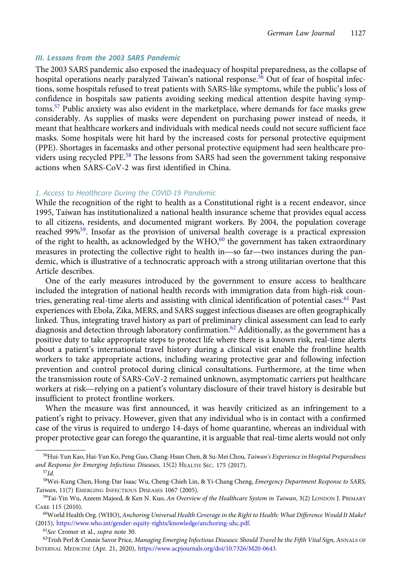## III. Lessons from the 2003 SARS Pandemic

The 2003 SARS pandemic also exposed the inadequacy of hospital preparedness, as the collapse of hospital operations nearly paralyzed Taiwan's national response.<sup>56</sup> Out of fear of hospital infections, some hospitals refused to treat patients with SARS-like symptoms, while the public's loss of confidence in hospitals saw patients avoiding seeking medical attention despite having symptoms.<sup>57</sup> Public anxiety was also evident in the marketplace, where demands for face masks grew considerably. As supplies of masks were dependent on purchasing power instead of needs, it meant that healthcare workers and individuals with medical needs could not secure sufficient face masks. Some hospitals were hit hard by the increased costs for personal protective equipment (PPE). Shortages in facemasks and other personal protective equipment had seen healthcare providers using recycled PPE.<sup>58</sup> The lessons from SARS had seen the government taking responsive actions when SARS-CoV-2 was first identified in China.

#### 1. Access to Healthcare During the COVID-19 Pandemic

While the recognition of the right to health as a Constitutional right is a recent endeavor, since 1995, Taiwan has institutionalized a national health insurance scheme that provides equal access to all citizens, residents, and documented migrant workers. By 2004, the population coverage reached 99%59. Insofar as the provision of universal health coverage is a practical expression of the right to health, as acknowledged by the WHO, $60$  the government has taken extraordinary measures in protecting the collective right to health in—so far—two instances during the pandemic, which is illustrative of a technocratic approach with a strong utilitarian overtone that this Article describes.

One of the early measures introduced by the government to ensure access to healthcare included the integration of national health records with immigration data from high-risk countries, generating real-time alerts and assisting with clinical identification of potential cases.<sup>61</sup> Past experiences with Ebola, Zika, MERS, and SARS suggest infectious diseases are often geographically linked. Thus, integrating travel history as part of preliminary clinical assessment can lead to early diagnosis and detection through laboratory confirmation.<sup>62</sup> Additionally, as the government has a positive duty to take appropriate steps to protect life where there is a known risk, real-time alerts about a patient's international travel history during a clinical visit enable the frontline health workers to take appropriate actions, including wearing protective gear and following infection prevention and control protocol during clinical consultations. Furthermore, at the time when the transmission route of SARS-CoV-2 remained unknown, asymptomatic carriers put healthcare about a patient's international travel history during a clinical visit enable the frontine health<br>workers to take appropriate actions, including wearing protective gear and following infection<br>prevention and control protoc insufficient to protect frontline workers.

When the measure was first announced, it was heavily criticized as an infringement to a patient's right to privacy. However, given that any individual who is in contact with a confirmed case of the virus is required to undergo 14-days of home quarantine, whereas an individual with proper protective gear can forego the quarantine, it is arguable that real-time alerts would not only

<sup>&</sup>lt;sup>56</sup>Hui-Yun Kao, Hai-Yun Ko, Peng Guo, Chang-Hsun Chen, & Su-Mei Chou, *Taiwan's Experience in Hospital Preparedness* and Response for Emerging Infectious Diseases, 15(2) HEALTH SEC. 175 (2017).

 $57$ Id.

<sup>58</sup>Wei-Kung Chen, Hong-Dar Isaac Wu, Cheng-Chieh Lin, & Yi-Chang Cheng, Emergency Department Response to SARS, Taiwan, 11(7) EMERGING INFECTIOUS DISEASES 1067 (2005).

<sup>&</sup>lt;sup>59</sup>Tai-Yin Wu, Azeem Majeed, & Ken N. Kuo, An Overview of the Healthcare System in Taiwan, 3(2) LONDON J. PRIMARY CARE 115 (2010).

<sup>60</sup>World Health Org. (WHO), Anchoring Universal Health Coverage in the Right to Health: What Difference Would It Make? (2015), [https://www.who.int/gender-equity-rights/knowledge/anchoring-uhc.pdf.](https://www.who.int/gender-equity-rights/knowledge/anchoring-uhc.pdf)

<sup>61</sup>See Cromer et al., supra note 30.

<sup>&</sup>lt;sup>62</sup>Trish Perl & Connie Savor Price, Managing Emerging Infectious Diseases: Should Travel be the Fifth Vital Sign, ANNALS OF INTERNAL MEDICINE (Apr. 21, 2020), [https://www.acpjournals.org/doi/10.7326/M20-0643.](https://www.acpjournals.org/doi/10.7326/M20-0643)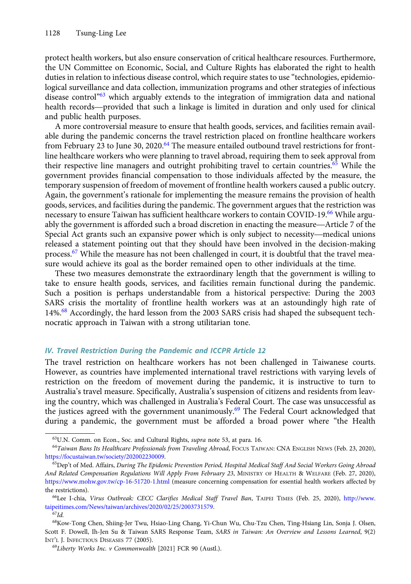protect health workers, but also ensure conservation of critical healthcare resources. Furthermore, the UN Committee on Economic, Social, and Culture Rights has elaborated the right to health the ON Committee on Economic, social, and Culture Kights has elaborated the right to health<br>duties in relation to infectious disease control, which require states to use "technologies, epidemio-<br>logical surveillance and da logical surveillance and data collection, immunization programs and other strategies of infectious disease control<sup>"63</sup> which arguably extends to the integration of immigration data and national<br>health records—provided that such a linkage is limited in duration and only used for clinical and public health purposes.

A more controversial measure to ensure that health goods, services, and facilities remain available during the pandemic concerns the travel restriction placed on frontline healthcare workers from February 23 to June 30, 2020.<sup>64</sup> The measure entailed outbound travel restrictions for frontline healthcare workers who were planning to travel abroad, requiring them to seek approval from their respective line managers and outright prohibiting travel to certain countries.<sup>65</sup> While the government provides financial compensation to those individuals affected by the measure, the temporary suspension of freedom of movement of frontline health workers caused a public outcry. Again, the government's rationale for implementing the measure remains the provision of health goods, services, and facilities during the pandemic. The government argues that the restriction was necessary to ensure Taiwan has sufficient healthcare workers to contain COVID-19.<sup>66</sup> While argudemporary suspension of freedom of movement of frontine hearth workers caused a public outcry.<br>Again, the government's rationale for implementing the measure remains the provision of health<br>goods, services, and facilities Again, the government s rationale for implementing the measure remains the provision of health<br>goods, services, and facilities during the pandemic. The government argues that the restriction was<br>necessary to ensure Taiwan released a statement pointing out that they should have been involved in the decision-making process.<sup>67</sup> While the measure has not been challenged in court, it is doubtful that the travel measure would achieve its goal as the border remained open to other individuals at the time.

These two measures demonstrate the extraordinary length that the government is willing to take to ensure health goods, services, and facilities remain functional during the pandemic. Such a position is perhaps understandable from a historical perspective: During the 2003 SARS crisis the mortality of frontline health workers was at an astoundingly high rate of 14%.68 Accordingly, the hard lesson from the 2003 SARS crisis had shaped the subsequent technocratic approach in Taiwan with a strong utilitarian tone.

## IV. Travel Restriction During the Pandemic and ICCPR Article 12

The travel restriction on healthcare workers has not been challenged in Taiwanese courts. However, as countries have implemented international travel restrictions with varying levels of restriction on the freedom of movement during the pandemic, it is instructive to turn to Australia's travel measure. Specifically, Australia's suspension of citizens and residents from leaving the country, which was challenged in Australia's Federal Court. The case was unsuccessful as the justices agreed with the government unanimously.<sup>69</sup> The Federal Court acknowledged that during a pandemic, the government must be afforded a broad power where "the Health

<sup>63</sup>U.N. Comm. on Econ., Soc. and Cultural Rights, supra note 53, at para. 16.

<sup>64</sup>Taiwan Bans Its Healthcare Professionals from Traveling Abroad, FOCUS TAIWAN: CNA ENGLISH NEWS (Feb. 23, 2020), <https://focustaiwan.tw/society/202002230009>.

<sup>&</sup>lt;sup>65</sup>Dep't of Med. Affairs, During The Epidemic Prevention Period, Hospital Medical Staff And Social Workers Going Abroad And Related Compensation Regulations Will Apply From February 23, MINISTRY OF HEALTH & WELFARE (Feb. 27, 2020), <https://www.mohw.gov.tw/cp-16-51720-1.html> (measure concerning compensation for essential health workers affected by the restrictions).

<sup>&</sup>lt;sup>66</sup>Lee I-chia, Virus Outbreak: CECC Clarifies Medical Staff Travel Ban, TAIPEI TIMES (Feb. 25, 2020), [http://www.](http://www.taipeitimes.com/News/taiwan/archives/2020/02/25/2003731579) [taipeitimes.com/News/taiwan/archives/2020/02/25/2003731579.](http://www.taipeitimes.com/News/taiwan/archives/2020/02/25/2003731579)

 $^{67}Id.$ 

<sup>68</sup>Kow-Tong Chen, Shiing-Jer Twu, Hsiao-Ling Chang, Yi-Chun Wu, Chu-Tzu Chen, Ting-Hsiang Lin, Sonja J. Olsen, Scott F. Dowell, Ih-Jen Su & Taiwan SARS Response Team, SARS in Taiwan: An Overview and Lessons Learned, 9(2) INT'L J. INFECTIOUS DISEASES 77 (2005).

 $^{69}$ Liberty Works Inc. v Commonwealth [2021] FCR 90 (Austl.).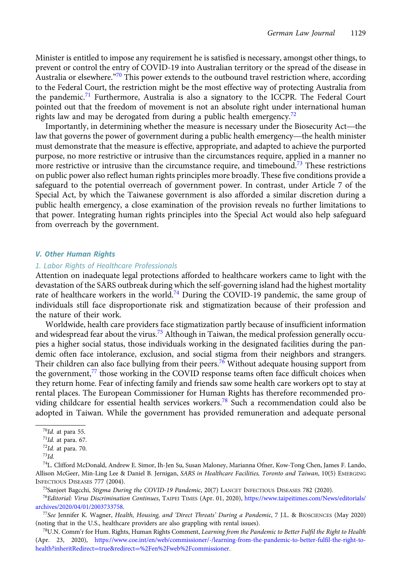Minister is entitled to impose any requirement he is satisfied is necessary, amongst other things, to prevent or control the entry of COVID-19 into Australian territory or the spread of the disease in Australia or elsewhere."<sup>70</sup> This power extends to the outbound travel restriction where, according to the Federal Court, the restriction might be the most effective way of protecting Australia from to the rederal Court, the restriction might be the most enective way of protecting Australia from<br>the pandemic.<sup>71</sup> Furthermore, Australia is also a signatory to the ICCPR. The Federal Court<br>pointed out that the freedom o pointed out that the freedom of movement is not an absolute right under international human rights law and may be derogated from during a public health emergency.<sup>72</sup>

Importantly, in determining whether the measure is necessary under the Biosecurity Act—the law that governs the power of government during a public health emergency—the health minister must demonstrate that the measure is effective, appropriate, and adapted to achieve the purported purpose, no more restrictive or intrusive than the circumstances require, applied in a manner no more restrictive or intrusive than the circumstance require, and timebound.<sup>73</sup> These restrictions on public power also reflect human rights principles more broadly. These five conditions provide a safeguard to the potential overreach of government power. In contrast, under Article 7 of the Special Act, by which the Taiwanese government is also afforded a similar discretion during a public health emergency, a close examination of the provision reveals no further limitations to that power. Integrating human rights principles into the Special Act would also help safeguard from overreach by the government.

#### V. Other Human Rights

#### 1. Labor Rights of Healthcare Professionals

Attention on inadequate legal protections afforded to healthcare workers came to light with the devastation of the SARS outbreak during which the self-governing island had the highest mortality rate of healthcare workers in the world.<sup>74</sup> During the COVID-19 pandemic, the same group of individuals still face disproportionate risk and stigmatization because of their profession and the nature of their work.

Worldwide, health care providers face stigmatization partly because of insufficient information and widespread fear about the virus.<sup>75</sup> Although in Taiwan, the medical profession generally occupies a higher social status, those individuals working in the designated facilities during the pandemic often face intolerance, exclusion, and social stigma from their neighbors and strangers. Their children can also face bullying from their peers.<sup>76</sup> Without adequate housing support from the government,<sup>77</sup> those working in the COVID response teams often face difficult choices when they return home. Fear of infecting family and friends saw some health care workers opt to stay at rental places. The European Commissioner for Human Rights has therefore recommended providing childcare for essential health services workers.<sup>78</sup> Such a recommendation could also be adopted in Taiwan. While the government has provided remuneration and adequate personal

75Sanjeet Bagcchi, Stigma During the COVID-19 Pandemic, 20(7) LANCET INFECTIOUS DISEASES 782 (2020).

 $70$ Id. at para 55.

 $71$ Id. at para. 67.

 $72$ Id. at para. 70.

 $^{73}$ Id.

<sup>74</sup>L. Clifford McDonald, Andrew E. Simor, Ih-Jen Su, Susan Maloney, Marianna Ofner, Kow-Tong Chen, James F. Lando, Allison McGeer, Min-Ling Lee & Daniel B. Jernigan, SARS in Healthcare Facilities, Toronto and Taiwan, 10(5) EMERGING INFECTIOUS DISEASES 777 (2004).

<sup>76</sup>Editorial: Virus Discrimination Continues, TAIPEI TIMES (Apr. 01, 2020), [https://www.taipeitimes.com/News/editorials/](https://www.taipeitimes.com/News/editorials/archives/2020/04/01/2003733758) [archives/2020/04/01/2003733758.](https://www.taipeitimes.com/News/editorials/archives/2020/04/01/2003733758)

<sup>77</sup>See Jennifer K. Wagner, Health, Housing, and 'Direct Threats' During a Pandemic, 7 J.L. & BIOSCIENCES (May 2020) (noting that in the U.S., healthcare providers are also grappling with rental issues).

 $^{78}$ U.N. Comm'r for Hum. Rights, Human Rights Comment, Learning from the Pandemic to Better Fulfil the Right to Health (Apr. 23, 2020), [https://www.coe.int/en/web/commissioner/-/learning-from-the-pandemic-to-better-fulfil-the-right-to](https://www.coe.int/en/web/commissioner/-/learning-from-the-pandemic-to-better-fulfil-the-right-to-health?inheritRedirect=true&redirect=%2Fen%2Fweb%2Fcommissioner)[health?inheritRedirect](https://www.coe.int/en/web/commissioner/-/learning-from-the-pandemic-to-better-fulfil-the-right-to-health?inheritRedirect=true&redirect=%2Fen%2Fweb%2Fcommissioner)=[true&redirect](https://www.coe.int/en/web/commissioner/-/learning-from-the-pandemic-to-better-fulfil-the-right-to-health?inheritRedirect=true&redirect=%2Fen%2Fweb%2Fcommissioner)=[%2Fen%2Fweb%2Fcommissioner](https://www.coe.int/en/web/commissioner/-/learning-from-the-pandemic-to-better-fulfil-the-right-to-health?inheritRedirect=true&redirect=%2Fen%2Fweb%2Fcommissioner).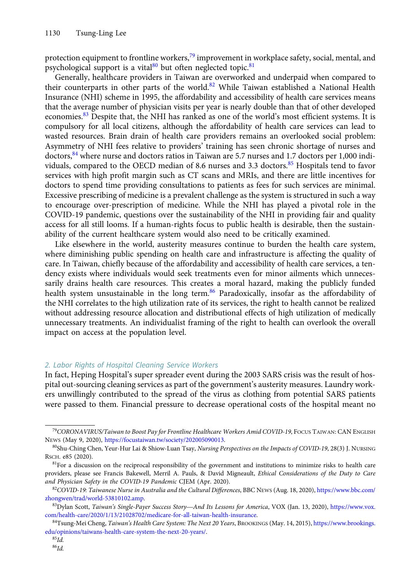protection equipment to frontline workers,<sup>79</sup> improvement in workplace safety, social, mental, and psychological support is a vital $80$  but often neglected topic.  $81$ 

Generally, healthcare providers in Taiwan are overworked and underpaid when compared to their counterparts in other parts of the world.<sup>82</sup> While Taiwan established a National Health Insurance (NHI) scheme in 1995, the affordability and accessibility of health care services means that the average number of physician visits per year is nearly double than that of other developed economies.<sup>83</sup> Despite that, the NHI has ranked as one of the world's most efficient systems. It is compulsory for all local citizens, although the affordability of health care services can lead to wasted resources. Brain drain of health care providers remains an overlooked social problem: Asymmetry of NHI fees relative to providers' training has seen chronic shortage of nurses and doctors,<sup>84</sup> where nurse and doctors ratios in Taiwan are 5.7 nurses and 1.7 doctors per 1,000 individuals, compared to the OECD median of 8.6 nurses and 3.3 doctors.<sup>85</sup> Hospitals tend to favor services with high profit margin such as CT scans and MRIs, and there are little incentives for doctors to spend time providing consultations to patients as fees for such services are minimal. Excessive prescribing of medicine is a prevalent challenge as the system is structured in such a way to encourage over-prescription of medicine. While the NHI has played a pivotal role in the COVID-19 pandemic, questions over the sustainability of the NHI in providing fair and quality access for all still looms. If a human-rights focus to public health is desirable, then the sustainability of the current healthcare system would also need to be critically examined.

Like elsewhere in the world, austerity measures continue to burden the health care system, where diminishing public spending on health care and infrastructure is affecting the quality of care. In Taiwan, chiefly because of the affordability and accessibility of health care services, a tendency exists where individuals would seek treatments even for minor ailments which unnecessarily drains health care resources. This creates a moral hazard, making the publicly funded health system unsustainable in the long term.<sup>86</sup> Paradoxically, insofar as the affordability of the NHI correlates to the high utilization rate of its services, the right to health cannot be realized without addressing resource allocation and distributional effects of high utilization of medically unnecessary treatments. An individualist framing of the right to health can overlook the overall impact on access at the population level.

## 2. Labor Rights of Hospital Cleaning Service Workers

In fact, Heping Hospital's super spreader event during the 2003 SARS crisis was the result of hospital out-sourcing cleaning services as part of the government's austerity measures. Laundry workers unwillingly contributed to the spread of the virus as clothing from potential SARS patients were passed to them. Financial pressure to decrease operational costs of the hospital meant no

<sup>79</sup>CORONAVIRUS/Taiwan to Boost Pay for Frontline Healthcare Workers Amid COVID-19, FOCUS TAIWAN: CAN ENGLISH NEWS (May 9, 2020), [https://focustaiwan.tw/society/202005090013.](https://focustaiwan.tw/society/202005090013)

<sup>80</sup>Shu-Ching Chen, Yeur-Hur Lai & Shiow-Luan Tsay, Nursing Perspectives on the Impacts of COVID-19, 28(3) J. NURSING RSCH. e85 (2020).

 $81$ For a discussion on the reciprocal responsibility of the government and institutions to minimize risks to health care providers, please see Francis Bakewell, Merril A. Pauls, & David Migneault, Ethical Considerations of the Duty to Care and Physician Safety in the COVID-19 Pandemic CJEM (Apr. 2020).

<sup>82</sup>COVID-19: Taiwanese Nurse in Australia and the Cultural Differences, BBC NEWS (Aug. 18, 2020), [https://www.bbc.com/](https://www.bbc.com/zhongwen/trad/world-53810102.amp) [zhongwen/trad/world-53810102.amp](https://www.bbc.com/zhongwen/trad/world-53810102.amp).

<sup>83</sup>Dylan Scott, Taiwan's Single-Payer Success Story—And Its Lessons for America, VOX (Jan. 13, 2020), [https://www.vox.](https://www.vox.com/health-care/2020/1/13/21028702/medicare-for-all-taiwan-health-insurance) [com/health-care/2020/1/13/21028702/medicare-for-all-taiwan-health-insurance.](https://www.vox.com/health-care/2020/1/13/21028702/medicare-for-all-taiwan-health-insurance)

<sup>84</sup>Tsung-Mei Cheng, Taiwan's Health Care System: The Next 20 Years, BROOKINGS (May. 14, 2015), [https://www.brookings.](https://www.brookings.edu/opinions/taiwans-health-care-system-the-next-20-years/) [edu/opinions/taiwans-health-care-system-the-next-20-years/](https://www.brookings.edu/opinions/taiwans-health-care-system-the-next-20-years/).

 $^{85}Id$ .

 $86$ Id.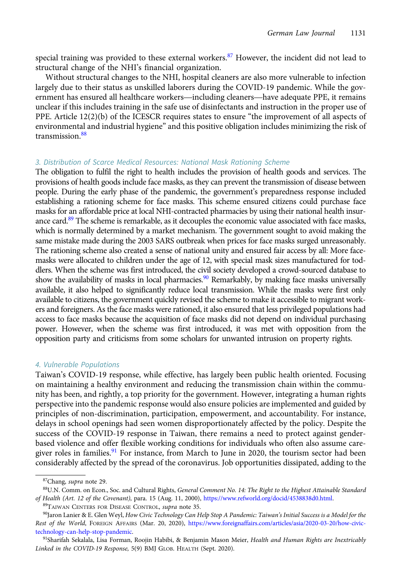special training was provided to these external workers.<sup>87</sup> However, the incident did not lead to structural change of the NHI's financial organization.

Without structural changes to the NHI, hospital cleaners are also more vulnerable to infection largely due to their status as unskilled laborers during the COVID-19 pandemic. While the govspecial training was provided to these external workers. Thowever, the incident did not lead to<br>structural change of the NHI's financial organization.<br>Without structural changes to the NHI, hospital cleaners are also more unclear if this includes training in the safe use of disinfectants and instruction in the proper use of PPE. Article 12(2)(b) of the ICESCR requires states to ensure "the improvement of all aspects of environmental and industrial hygiene" and this positive obligation includes minimizing the risk of transmission.<sup>88</sup>

## 3. Distribution of Scarce Medical Resources: National Mask Rationing Scheme

The obligation to fulfil the right to health includes the provision of health goods and services. The provisions of health goods include face masks, as they can prevent the transmission of disease between people. During the early phase of the pandemic, the government's preparedness response included establishing a rationing scheme for face masks. This scheme ensured citizens could purchase face masks for an affordable price at local NHI-contracted pharmacies by using their national health insurance card.<sup>89</sup> The scheme is remarkable, as it decouples the economic value associated with face masks, which is normally determined by a market mechanism. The government sought to avoid making the same mistake made during the 2003 SARS outbreak when prices for face masks surged unreasonably. The rationing scheme also created a sense of national unity and ensured fair access by all: More facemasks were allocated to children under the age of 12, with special mask sizes manufactured for toddlers. When the scheme was first introduced, the civil society developed a crowd-sourced database to show the availability of masks in local pharmacies.<sup>90</sup> Remarkably, by making face masks universally available, it also helped to significantly reduce local transmission. While the masks were first only available to citizens, the government quickly revised the scheme to make it accessible to migrant workers and foreigners. As the face masks were rationed, it also ensured that less privileged populations had access to face masks because the acquisition of face masks did not depend on individual purchasing power. However, when the scheme was first introduced, it was met with opposition from the opposition party and criticisms from some scholars for unwanted intrusion on property rights.

#### 4. Vulnerable Populations

Taiwan's COVID-19 response, while effective, has largely been public health oriented. Focusing on maintaining a healthy environment and reducing the transmission chain within the community has been, and rightly, a top priority for the government. However, integrating a human rights perspective into the pandemic response would also ensure policies are implemented and guided by principles of non-discrimination, participation, empowerment, and accountability. For instance, delays in school openings had seen women disproportionately affected by the policy. Despite the success of the COVID-19 response in Taiwan, there remains a need to protect against genderbased violence and offer flexible working conditions for individuals who often also assume caregiver roles in families.<sup>91</sup> For instance, from March to June in 2020, the tourism sector had been considerably affected by the spread of the coronavirus. Job opportunities dissipated, adding to the

89TAIWAN CENTERS FOR DISEASE CONTROL, supra note 35.

<sup>&</sup>lt;sup>87</sup>Chang, *supra* note 29.

<sup>88</sup>U.N. Comm. on Econ., Soc. and Cultural Rights, General Comment No. 14: The Right to the Highest Attainable Standard of Health (Art. 12 of the Covenant), para. 15 (Aug. 11, 2000), <https://www.refworld.org/docid/4538838d0.html>.

<sup>90</sup>Jaron Lanier & E. Glen Weyl, How Civic Technology Can Help Stop A Pandemic: Taiwan's Initial Success is a Model for the Rest of the World, FOREIGN AFFAIRS (Mar. 20, 2020), [https://www.foreignaffairs.com/articles/asia/2020-03-20/how-civic](https://www.foreignaffairs.com/articles/asia/2020-03-20/how-civic-technology-can-help-stop-pandemic)[technology-can-help-stop-pandemic](https://www.foreignaffairs.com/articles/asia/2020-03-20/how-civic-technology-can-help-stop-pandemic).

<sup>91</sup>Sharifah Sekalala, Lisa Forman, Roojin Habibi, & Benjamin Mason Meier, Health and Human Rights are Inextricably Linked in the COVID-19 Response, 5(9) BMJ GLOB. HEALTH (Sept. 2020).